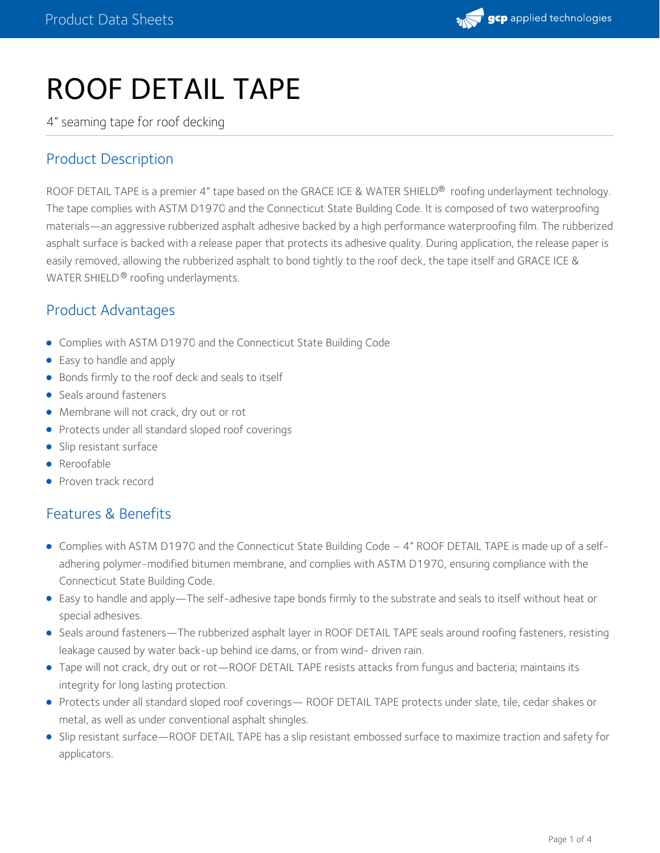

# ROOF DETAIL TAPE

4" seaming tape for roof decking

## Product Description

ROOF DETAIL TAPE is a premier 4" tape based on the GRACE ICE & WATER SHIELD® roofing underlayment technology. The tape complies with ASTM D1970 and the Connecticut State Building Code. It is composed of two waterproofing materials—an aggressive rubberized asphalt adhesive backed by a high performance waterproofing film. The rubberized asphalt surface is backed with a release paper that protects its adhesive quality. During application, the release paper is easily removed, allowing the rubberized asphalt to bond tightly to the roof deck, the tape itself and GRACE ICE & WATER SHIELD® roofing underlayments.

### Product Advantages

- Complies with ASTM D1970 and the Connecticut State Building Code
- Easy to handle and apply
- Bonds firmly to the roof deck and seals to itself
- Seals around fasteners
- Membrane will not crack, dry out or rot
- Protects under all standard sloped roof coverings
- Slip resistant surface
- Reroofable
- Proven track record

## Features & Benefits

- Complies with ASTM D1970 and the Connecticut State Building Code 4" ROOF DETAIL TAPE is made up of a selfadhering polymer-modified bitumen membrane, and complies with ASTM D1970, ensuring compliance with the Connecticut State Building Code.
- Easy to handle and apply—The self-adhesive tape bonds firmly to the substrate and seals to itself without heat or special adhesives.
- Seals around fasteners—The rubberized asphalt layer in ROOF DETAIL TAPE seals around roofing fasteners, resisting leakage caused by water back-up behind ice dams, or from wind- driven rain.
- Tape will not crack, dry out or rot—ROOF DETAIL TAPE resists attacks from fungus and bacteria; maintains its integrity for long lasting protection.
- Protects under all standard sloped roof coverings— ROOF DETAIL TAPE protects under slate, tile, cedar shakes or metal, as well as under conventional asphalt shingles.
- Slip resistant surface—ROOF DETAIL TAPE has a slip resistant embossed surface to maximize traction and safety for applicators.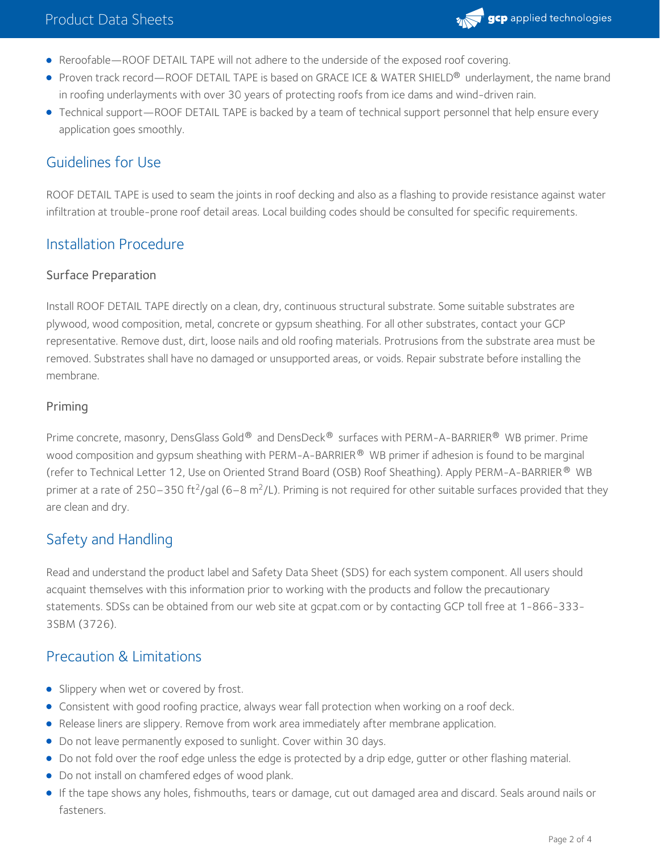

- Reroofable—ROOF DETAIL TAPE will not adhere to the underside of the exposed roof covering.
- Proven track record—ROOF DETAIL TAPE is based on GRACE ICE & WATER SHIELD® underlayment, the name brand in roofing underlayments with over 30 years of protecting roofs from ice dams and wind-driven rain.
- Technical support—ROOF DETAIL TAPE is backed by a team of technical support personnel that help ensure every application goes smoothly.

## Guidelines for Use

ROOF DETAIL TAPE is used to seam the joints in roof decking and also as a flashing to provide resistance against water infiltration at trouble-prone roof detail areas. Local building codes should be consulted for specific requirements.

## Installation Procedure

#### Surface Preparation

Install ROOF DETAIL TAPE directly on a clean, dry, continuous structural substrate. Some suitable substrates are plywood, wood composition, metal, concrete or gypsum sheathing. For all other substrates, contact your GCP representative. Remove dust, dirt, loose nails and old roofing materials. Protrusions from the substrate area must be removed. Substrates shall have no damaged or unsupported areas, or voids. Repair substrate before installing the membrane.

#### Priming

Prime concrete, masonry, DensGlass Gold® and DensDeck® surfaces with PERM-A-BARRIER® WB primer. Prime wood composition and gypsum sheathing with PERM-A-BARRIER  $^\circledR\,$  WB primer if adhesion is found to be marginal (refer to Technical Letter 12, Use on Oriented Strand Board (OSB) Roof Sheathing). Apply PERM-A-BARRIER ® WB primer at a rate of 250–350 ft<sup>2</sup>/gal (6–8 m<sup>2</sup>/L). Priming is not required for other suitable surfaces provided that they are clean and dry.

## Safety and Handling

Read and understand the product label and Safety Data Sheet (SDS) for each system component. All users should acquaint themselves with this information prior to working with the products and follow the precautionary statements. SDSs can be obtained from our web site at gcpat.com or by contacting GCP toll free at 1-866-333- 3SBM (3726).

## Precaution & Limitations

- **Slippery when wet or covered by frost.**
- Consistent with good roofing practice, always wear fall protection when working on a roof deck.
- Release liners are slippery. Remove from work area immediately after membrane application.
- Do not leave permanently exposed to sunlight. Cover within 30 days.
- Do not fold over the roof edge unless the edge is protected by a drip edge, gutter or other flashing material.
- Do not install on chamfered edges of wood plank.
- If the tape shows any holes, fishmouths, tears or damage, cut out damaged area and discard. Seals around nails or fasteners.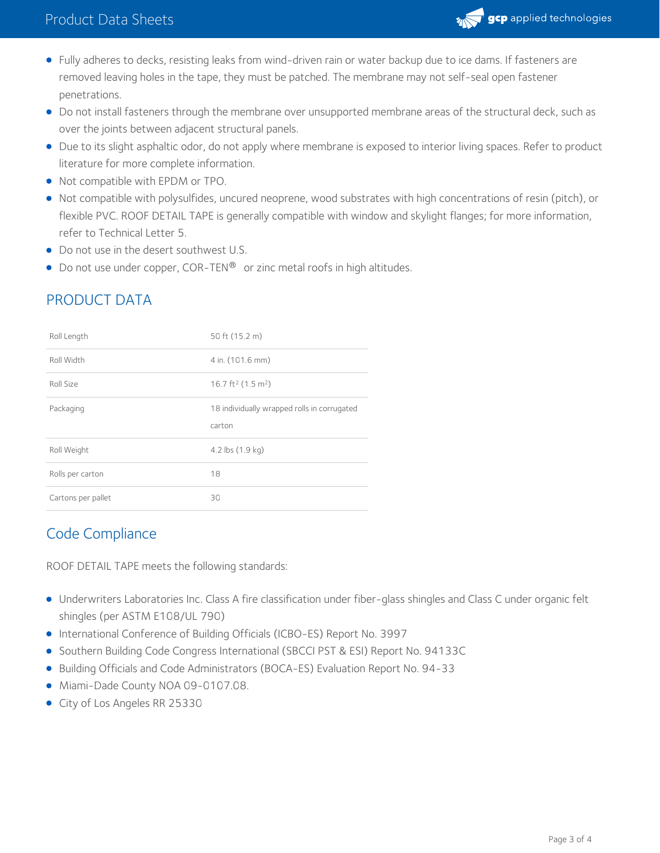

- Fully adheres to decks, resisting leaks from wind-driven rain or water backup due to ice dams. If fasteners are removed leaving holes in the tape, they must be patched. The membrane may not self-seal open fastener penetrations.
- Do not install fasteners through the membrane over unsupported membrane areas of the structural deck, such as over the joints between adjacent structural panels.
- Due to its slight asphaltic odor, do not apply where membrane is exposed to interior living spaces. Refer to product literature for more complete information.
- Not compatible with EPDM or TPO.
- Not compatible with polysulfides, uncured neoprene, wood substrates with high concentrations of resin (pitch), or flexible PVC. ROOF DETAIL TAPE is generally compatible with window and skylight flanges; for more information, refer to Technical Letter 5.
- Do not use in the desert southwest U.S.
- $\bullet$  Do not use under copper, COR-TEN $^\circledR\,$  or zinc metal roofs in high altitudes.

| Roll Length        | 50 ft (15.2 m)                                        |  |
|--------------------|-------------------------------------------------------|--|
| Roll Width         | 4 in. (101.6 mm)                                      |  |
| Roll Size          | 16.7 ft <sup>2</sup> (1.5 m <sup>2</sup> )            |  |
| Packaging          | 18 individually wrapped rolls in corrugated<br>carton |  |
| Roll Weight        | 4.2 lbs (1.9 kg)                                      |  |
| Rolls per carton   | 18                                                    |  |
| Cartons per pallet | 30                                                    |  |

# PRODUCT DATA

## Code Compliance

ROOF DETAIL TAPE meets the following standards:

- Underwriters Laboratories Inc. Class A fire classification under fiber-glass shingles and Class C under organic felt shingles (per ASTM E108/UL 790)
- International Conference of Building Officials (ICBO-ES) Report No. 3997
- **Southern Building Code Congress International (SBCCI PST & ESI) Report No. 94133C**
- **•** Building Officials and Code Administrators (BOCA-ES) Evaluation Report No. 94-33
- Miami-Dade County NOA 09-0107.08.
- City of Los Angeles RR 25330